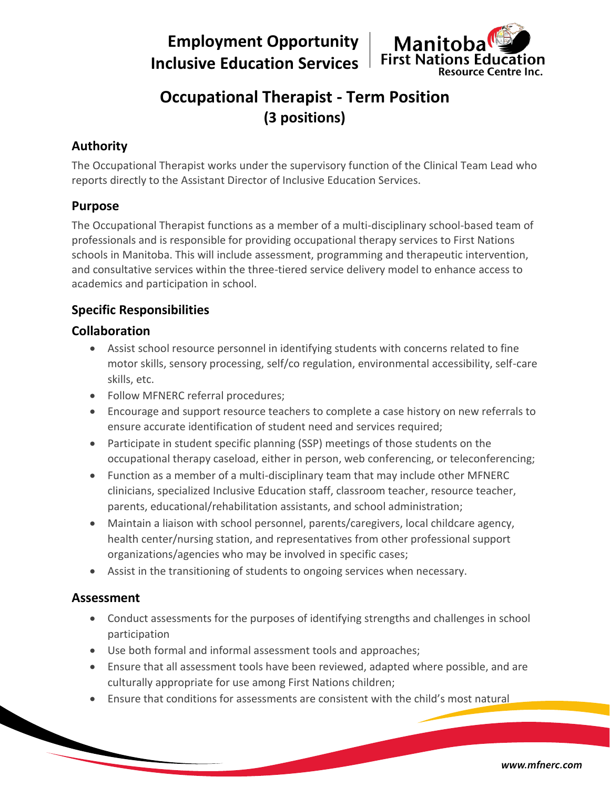**Employment Opportunity Inclusive Education Services**



# **Occupational Therapist - Term Position (3 positions)**

## **Authority**

The Occupational Therapist works under the supervisory function of the Clinical Team Lead who reports directly to the Assistant Director of Inclusive Education Services.

## **Purpose**

The Occupational Therapist functions as a member of a multi-disciplinary school-based team of professionals and is responsible for providing occupational therapy services to First Nations schools in Manitoba. This will include assessment, programming and therapeutic intervention, and consultative services within the three-tiered service delivery model to enhance access to academics and participation in school.

## **Specific Responsibilities**

## **Collaboration**

- Assist school resource personnel in identifying students with concerns related to fine motor skills, sensory processing, self/co regulation, environmental accessibility, self-care skills, etc.
- Follow MFNERC referral procedures;
- Encourage and support resource teachers to complete a case history on new referrals to ensure accurate identification of student need and services required;
- Participate in student specific planning (SSP) meetings of those students on the occupational therapy caseload, either in person, web conferencing, or teleconferencing;
- Function as a member of a multi-disciplinary team that may include other MFNERC clinicians, specialized Inclusive Education staff, classroom teacher, resource teacher, parents, educational/rehabilitation assistants, and school administration;
- Maintain a liaison with school personnel, parents/caregivers, local childcare agency, health center/nursing station, and representatives from other professional support organizations/agencies who may be involved in specific cases;
- Assist in the transitioning of students to ongoing services when necessary.

## **Assessment**

- Conduct assessments for the purposes of identifying strengths and challenges in school participation
- Use both formal and informal assessment tools and approaches;
- Ensure that all assessment tools have been reviewed, adapted where possible, and are culturally appropriate for use among First Nations children;
- Ensure that conditions for assessments are consistent with the child's most natural

www.mfnerc.com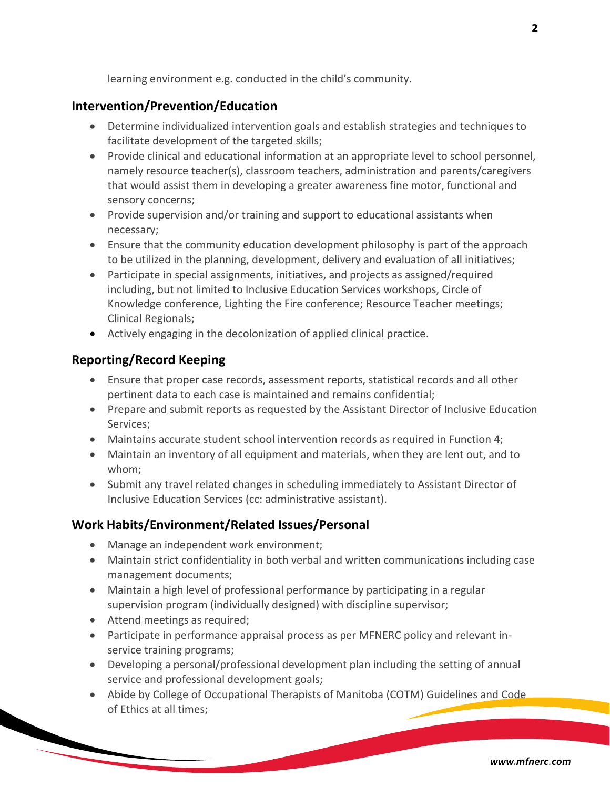learning environment e.g. conducted in the child's community.

#### **Intervention/Prevention/Education**

- Determine individualized intervention goals and establish strategies and techniques to facilitate development of the targeted skills;
- Provide clinical and educational information at an appropriate level to school personnel, namely resource teacher(s), classroom teachers, administration and parents/caregivers that would assist them in developing a greater awareness fine motor, functional and sensory concerns;
- Provide supervision and/or training and support to educational assistants when necessary;
- Ensure that the community education development philosophy is part of the approach to be utilized in the planning, development, delivery and evaluation of all initiatives;
- Participate in special assignments, initiatives, and projects as assigned/required including, but not limited to Inclusive Education Services workshops, Circle of Knowledge conference, Lighting the Fire conference; Resource Teacher meetings; Clinical Regionals;
- Actively engaging in the decolonization of applied clinical practice.

### **Reporting/Record Keeping**

- Ensure that proper case records, assessment reports, statistical records and all other pertinent data to each case is maintained and remains confidential;
- Prepare and submit reports as requested by the Assistant Director of Inclusive Education Services;
- Maintains accurate student school intervention records as required in Function 4;
- Maintain an inventory of all equipment and materials, when they are lent out, and to whom;
- Submit any travel related changes in scheduling immediately to Assistant Director of Inclusive Education Services (cc: administrative assistant).

#### **Work Habits/Environment/Related Issues/Personal**

- Manage an independent work environment;
- Maintain strict confidentiality in both verbal and written communications including case management documents;
- Maintain a high level of professional performance by participating in a regular supervision program (individually designed) with discipline supervisor;
- Attend meetings as required;
- Participate in performance appraisal process as per MFNERC policy and relevant inservice training programs;
- Developing a personal/professional development plan including the setting of annual service and professional development goals;
- Abide by College of Occupational Therapists of Manitoba (COTM) Guidelines and Code of Ethics at all times;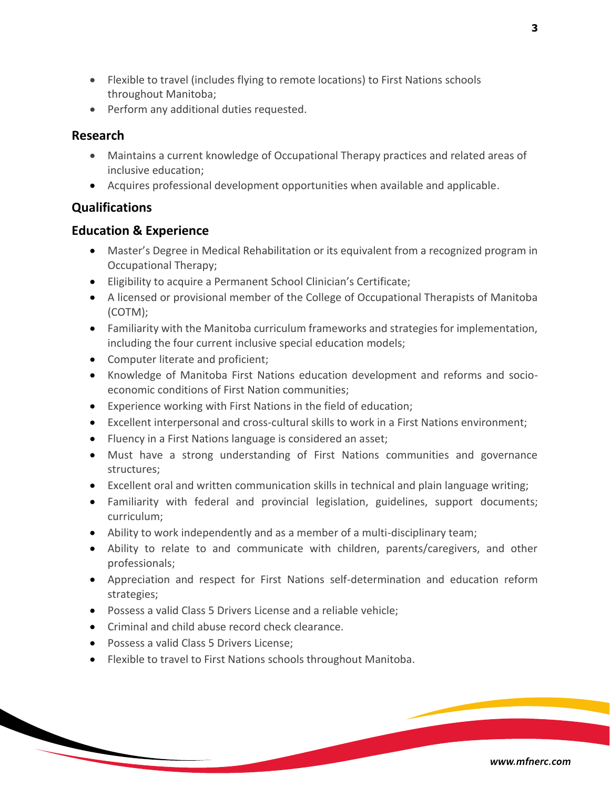- Flexible to travel (includes flying to remote locations) to First Nations schools throughout Manitoba;
- Perform any additional duties requested.

#### **Research**

- Maintains a current knowledge of Occupational Therapy practices and related areas of inclusive education;
- Acquires professional development opportunities when available and applicable.

## **Qualifications**

### **Education & Experience**

- Master's Degree in Medical Rehabilitation or its equivalent from a recognized program in Occupational Therapy;
- Eligibility to acquire a Permanent School Clinician's Certificate;
- A licensed or provisional member of the College of Occupational Therapists of Manitoba (COTM);
- Familiarity with the Manitoba curriculum frameworks and strategies for implementation, including the four current inclusive special education models;
- Computer literate and proficient;
- Knowledge of Manitoba First Nations education development and reforms and socioeconomic conditions of First Nation communities;
- Experience working with First Nations in the field of education;
- Excellent interpersonal and cross-cultural skills to work in a First Nations environment;
- Fluency in a First Nations language is considered an asset;
- Must have a strong understanding of First Nations communities and governance structures;
- Excellent oral and written communication skills in technical and plain language writing;
- Familiarity with federal and provincial legislation, guidelines, support documents; curriculum;
- Ability to work independently and as a member of a multi-disciplinary team;
- Ability to relate to and communicate with children, parents/caregivers, and other professionals;
- Appreciation and respect for First Nations self-determination and education reform strategies;
- Possess a valid Class 5 Drivers License and a reliable vehicle;
- Criminal and child abuse record check clearance.
- Possess a valid Class 5 Drivers License;
- Flexible to travel to First Nations schools throughout Manitoba.